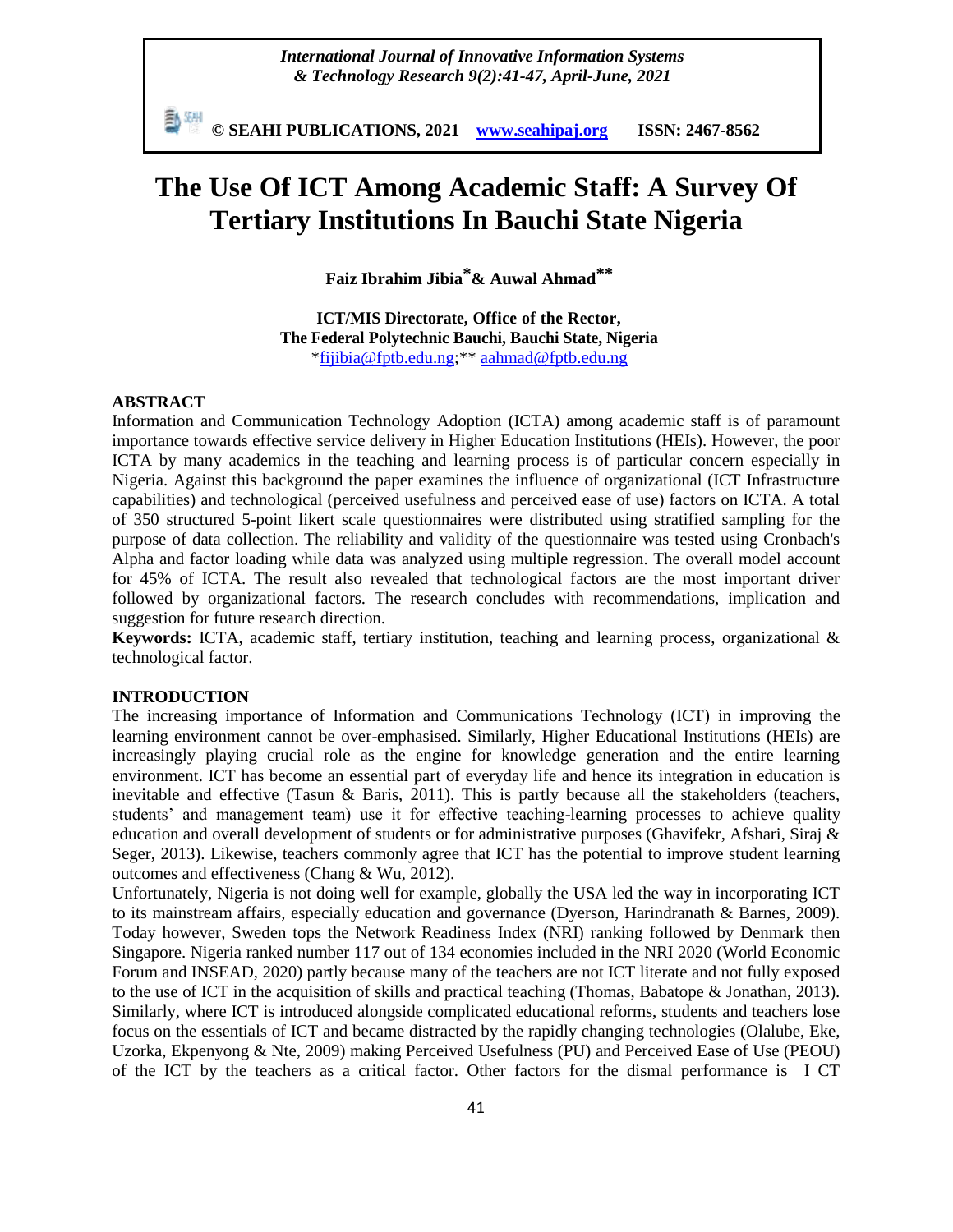*International Journal of Innovative Information Systems & Technology Research 9(2):41-47, April-June, 2021*

勤細 **© SEAHI PUBLICATIONS, 2021 [www.seahipaj.org](http://www.seahipaj.org/) ISSN: 2467-8562**

# **The Use Of ICT Among Academic Staff: A Survey Of Tertiary Institutions In Bauchi State Nigeria**

**Faiz Ibrahim Jibia\*& Auwal Ahmad\*\***

**ICT/MIS Directorate, Office of the Rector, The Federal Polytechnic Bauchi, Bauchi State, Nigeria** [\\*fijibia@fptb.edu.ng;](mailto:fijibia@fptb.edu.ng)\*\* [aahmad@fptb.edu.ng](mailto:aahmad@fptb.edu.ng)

# **ABSTRACT**

Information and Communication Technology Adoption (ICTA) among academic staff is of paramount importance towards effective service delivery in Higher Education Institutions (HEIs). However, the poor ICTA by many academics in the teaching and learning process is of particular concern especially in Nigeria. Against this background the paper examines the influence of organizational (ICT Infrastructure capabilities) and technological (perceived usefulness and perceived ease of use) factors on ICTA. A total of 350 structured 5-point likert scale questionnaires were distributed using stratified sampling for the purpose of data collection. The reliability and validity of the questionnaire was tested using Cronbach's Alpha and factor loading while data was analyzed using multiple regression. The overall model account for 45% of ICTA. The result also revealed that technological factors are the most important driver followed by organizational factors. The research concludes with recommendations, implication and suggestion for future research direction.

**Keywords:** ICTA, academic staff, tertiary institution, teaching and learning process, organizational & technological factor.

## **INTRODUCTION**

The increasing importance of Information and Communications Technology (ICT) in improving the learning environment cannot be over-emphasised. Similarly, Higher Educational Institutions (HEIs) are increasingly playing crucial role as the engine for knowledge generation and the entire learning environment. ICT has become an essential part of everyday life and hence its integration in education is inevitable and effective (Tasun & Baris, 2011). This is partly because all the stakeholders (teachers, students' and management team) use it for effective teaching-learning processes to achieve quality education and overall development of students or for administrative purposes (Ghavifekr, Afshari, Siraj & Seger, 2013). Likewise, teachers commonly agree that ICT has the potential to improve student learning outcomes and effectiveness (Chang & Wu, 2012).

Unfortunately, Nigeria is not doing well for example, globally the USA led the way in incorporating ICT to its mainstream affairs, especially education and governance (Dyerson, Harindranath & Barnes, 2009). Today however, Sweden tops the Network Readiness Index (NRI) ranking followed by Denmark then Singapore. Nigeria ranked number 117 out of 134 economies included in the NRI 2020 (World Economic Forum and INSEAD, 2020) partly because many of the teachers are not ICT literate and not fully exposed to the use of ICT in the acquisition of skills and practical teaching (Thomas, Babatope & Jonathan, 2013). Similarly, where ICT is introduced alongside complicated educational reforms, students and teachers lose focus on the essentials of ICT and became distracted by the rapidly changing technologies (Olalube, Eke, Uzorka, Ekpenyong & Nte, 2009) making Perceived Usefulness (PU) and Perceived Ease of Use (PEOU) of the ICT by the teachers as a critical factor. Other factors for the dismal performance is I CT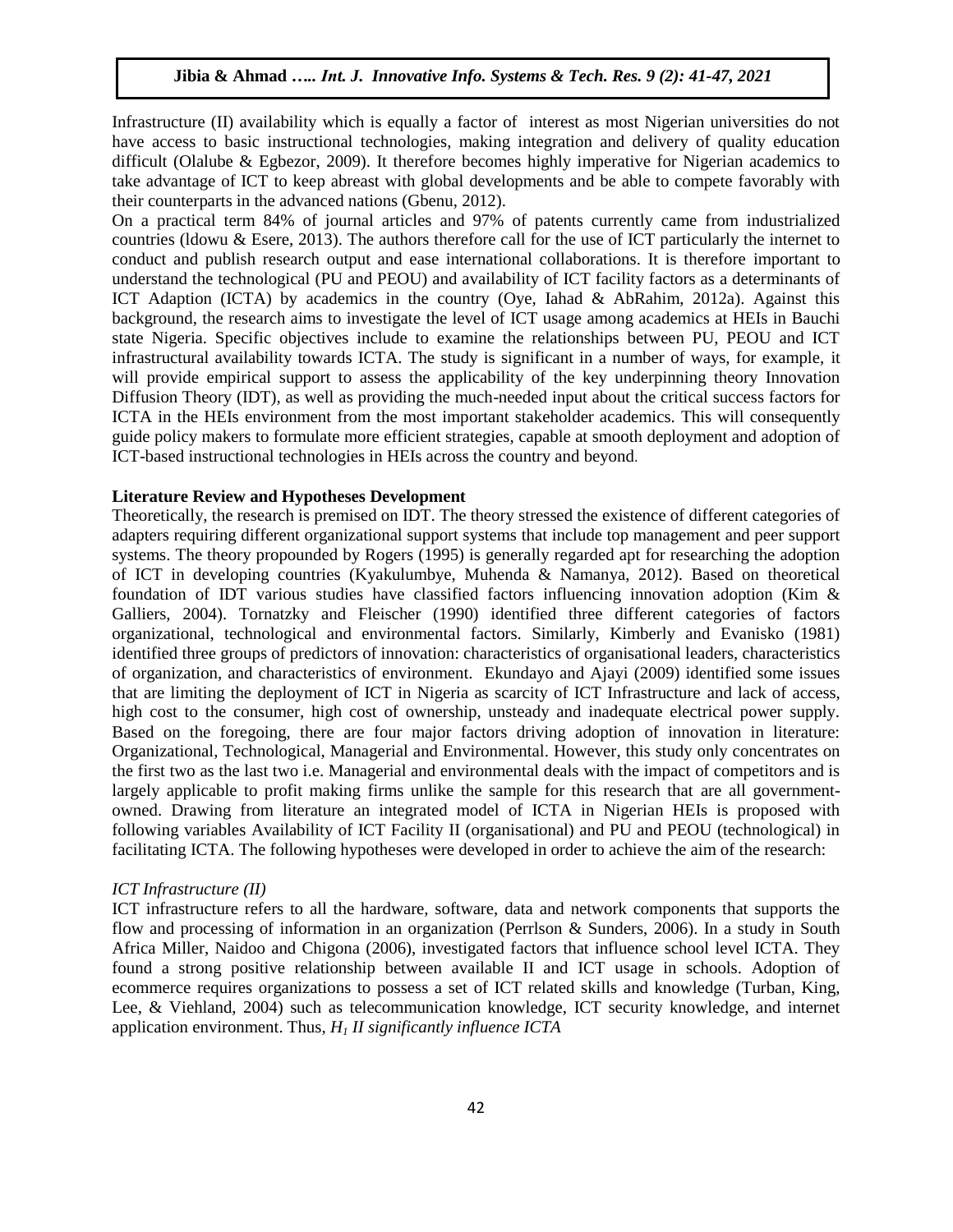Infrastructure (II) availability which is equally a factor of interest as most Nigerian universities do not have access to basic instructional technologies, making integration and delivery of quality education difficult (Olalube & Egbezor, 2009). It therefore becomes highly imperative for Nigerian academics to take advantage of ICT to keep abreast with global developments and be able to compete favorably with their counterparts in the advanced nations (Gbenu, 2012).

On a practical term 84% of journal articles and 97% of patents currently came from industrialized countries (ldowu & Esere, 2013). The authors therefore call for the use of ICT particularly the internet to conduct and publish research output and ease international collaborations. It is therefore important to understand the technological (PU and PEOU) and availability of ICT facility factors as a determinants of ICT Adaption (ICTA) by academics in the country (Oye, Iahad & AbRahim, 2012a). Against this background, the research aims to investigate the level of ICT usage among academics at HEIs in Bauchi state Nigeria. Specific objectives include to examine the relationships between PU, PEOU and ICT infrastructural availability towards ICTA. The study is significant in a number of ways, for example, it will provide empirical support to assess the applicability of the key underpinning theory Innovation Diffusion Theory (IDT), as well as providing the much-needed input about the critical success factors for ICTA in the HEIs environment from the most important stakeholder academics. This will consequently guide policy makers to formulate more efficient strategies, capable at smooth deployment and adoption of ICT-based instructional technologies in HEIs across the country and beyond.

# **Literature Review and Hypotheses Development**

Theoretically, the research is premised on IDT. The theory stressed the existence of different categories of adapters requiring different organizational support systems that include top management and peer support systems. The theory propounded by Rogers (1995) is generally regarded apt for researching the adoption of ICT in developing countries (Kyakulumbye, Muhenda & Namanya, 2012). Based on theoretical foundation of IDT various studies have classified factors influencing innovation adoption (Kim & Galliers, 2004). Tornatzky and Fleischer (1990) identified three different categories of factors organizational, technological and environmental factors. Similarly, Kimberly and Evanisko (1981) identified three groups of predictors of innovation: characteristics of organisational leaders, characteristics of organization, and characteristics of environment. Ekundayo and Ajayi (2009) identified some issues that are limiting the deployment of ICT in Nigeria as scarcity of ICT Infrastructure and lack of access, high cost to the consumer, high cost of ownership, unsteady and inadequate electrical power supply. Based on the foregoing, there are four major factors driving adoption of innovation in literature: Organizational, Technological, Managerial and Environmental. However, this study only concentrates on the first two as the last two i.e. Managerial and environmental deals with the impact of competitors and is largely applicable to profit making firms unlike the sample for this research that are all governmentowned. Drawing from literature an integrated model of ICTA in Nigerian HEIs is proposed with following variables Availability of ICT Facility II (organisational) and PU and PEOU (technological) in facilitating ICTA. The following hypotheses were developed in order to achieve the aim of the research:

## *ICT Infrastructure (II)*

ICT infrastructure refers to all the hardware, software, data and network components that supports the flow and processing of information in an organization (Perrlson & Sunders, 2006). In a study in South Africa Miller, Naidoo and Chigona (2006), investigated factors that influence school level ICTA. They found a strong positive relationship between available II and ICT usage in schools. Adoption of ecommerce requires organizations to possess a set of ICT related skills and knowledge (Turban, King, Lee, & Viehland, 2004) such as telecommunication knowledge, ICT security knowledge, and internet application environment. Thus, *H<sup>1</sup> II significantly influence ICTA*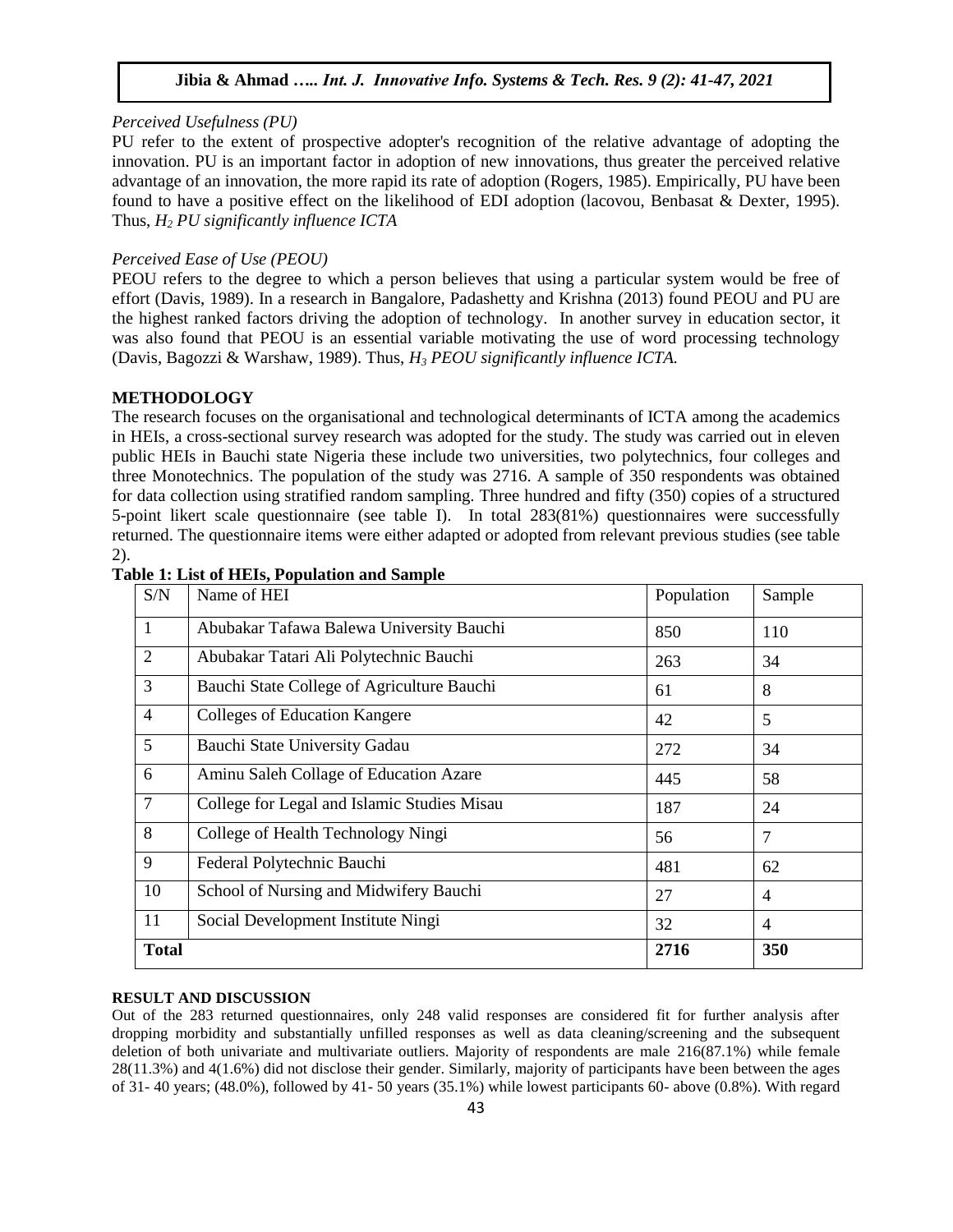## *Perceived Usefulness (PU)*

PU refer to the extent of prospective adopter's recognition of the relative advantage of adopting the innovation. PU is an important factor in adoption of new innovations, thus greater the perceived relative advantage of an innovation, the more rapid its rate of adoption (Rogers, 1985). Empirically, PU have been found to have a positive effect on the likelihood of EDI adoption (lacovou, Benbasat & Dexter, 1995). Thus, *H<sup>2</sup> PU significantly influence ICTA*

# *Perceived Ease of Use (PEOU)*

PEOU refers to the degree to which a person believes that using a particular system would be free of effort (Davis, 1989). In a research in Bangalore, Padashetty and Krishna (2013) found PEOU and PU are the highest ranked factors driving the adoption of technology. In another survey in education sector, it was also found that PEOU is an essential variable motivating the use of word processing technology (Davis, Bagozzi & Warshaw, 1989). Thus, *H<sup>3</sup> PEOU significantly influence ICTA.*

## **METHODOLOGY**

The research focuses on the organisational and technological determinants of ICTA among the academics in HEIs, a cross-sectional survey research was adopted for the study. The study was carried out in eleven public HEIs in Bauchi state Nigeria these include two universities, two polytechnics, four colleges and three Monotechnics. The population of the study was 2716. A sample of 350 respondents was obtained for data collection using stratified random sampling. Three hundred and fifty (350) copies of a structured 5-point likert scale questionnaire (see table I). In total 283(81%) questionnaires were successfully returned. The questionnaire items were either adapted or adopted from relevant previous studies (see table 2).

| S/N            | Name of HEI                                 | Population | Sample         |
|----------------|---------------------------------------------|------------|----------------|
| $\mathbf{1}$   | Abubakar Tafawa Balewa University Bauchi    | 850        | 110            |
| 2              | Abubakar Tatari Ali Polytechnic Bauchi      | 263        | 34             |
| 3              | Bauchi State College of Agriculture Bauchi  | 61         | 8              |
| $\overline{4}$ | Colleges of Education Kangere               | 42         | 5              |
| 5 <sup>5</sup> | Bauchi State University Gadau               | 272        | 34             |
| 6              | Aminu Saleh Collage of Education Azare      | 445        | 58             |
| $\overline{7}$ | College for Legal and Islamic Studies Misau | 187        | 24             |
| 8              | College of Health Technology Ningi          | 56         | 7              |
| 9              | Federal Polytechnic Bauchi                  | 481        | 62             |
| 10             | School of Nursing and Midwifery Bauchi      | 27         | $\overline{4}$ |
| 11             | Social Development Institute Ningi          | 32         | $\overline{4}$ |
| <b>Total</b>   |                                             | 2716       | 350            |

#### **Table 1: List of HEIs, Population and Sample**

#### **RESULT AND DISCUSSION**

Out of the 283 returned questionnaires, only 248 valid responses are considered fit for further analysis after dropping morbidity and substantially unfilled responses as well as data cleaning/screening and the subsequent deletion of both univariate and multivariate outliers. Majority of respondents are male 216(87.1%) while female 28(11.3%) and 4(1.6%) did not disclose their gender. Similarly, majority of participants have been between the ages of 31- 40 years; (48.0%), followed by 41- 50 years (35.1%) while lowest participants 60- above (0.8%). With regard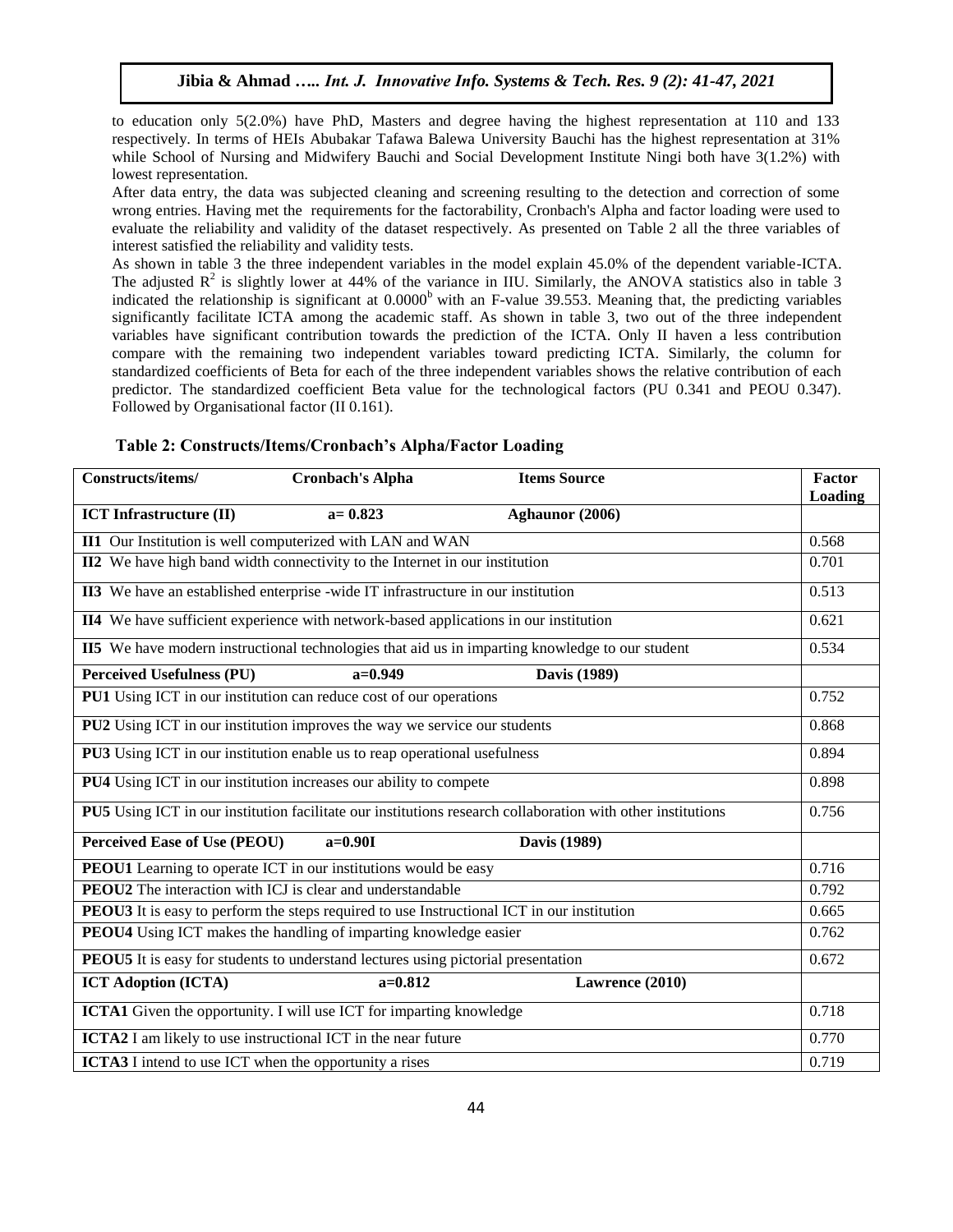to education only 5(2.0%) have PhD, Masters and degree having the highest representation at 110 and 133 respectively. In terms of HEIs Abubakar Tafawa Balewa University Bauchi has the highest representation at 31% while School of Nursing and Midwifery Bauchi and Social Development Institute Ningi both have  $3(1.2\%)$  with lowest representation.

After data entry, the data was subjected cleaning and screening resulting to the detection and correction of some wrong entries. Having met the requirements for the factorability, Cronbach's Alpha and factor loading were used to evaluate the reliability and validity of the dataset respectively. As presented on Table 2 all the three variables of interest satisfied the reliability and validity tests.

As shown in table 3 the three independent variables in the model explain 45.0% of the dependent variable-ICTA. The adjusted  $\mathbb{R}^2$  is slightly lower at 44% of the variance in IIU. Similarly, the ANOVA statistics also in table 3 indicated the relationship is significant at  $0.0000<sup>b</sup>$  with an F-value 39.553. Meaning that, the predicting variables significantly facilitate ICTA among the academic staff. As shown in table 3, two out of the three independent variables have significant contribution towards the prediction of the ICTA. Only II haven a less contribution compare with the remaining two independent variables toward predicting ICTA. Similarly, the column for standardized coefficients of Beta for each of the three independent variables shows the relative contribution of each predictor. The standardized coefficient Beta value for the technological factors (PU 0.341 and PEOU 0.347). Followed by Organisational factor (II 0.161).

| Constructs/items/                                                                                           | <b>Cronbach's Alpha</b>                                                              | <b>Items Source</b>                                                                             | Factor  |  |
|-------------------------------------------------------------------------------------------------------------|--------------------------------------------------------------------------------------|-------------------------------------------------------------------------------------------------|---------|--|
|                                                                                                             |                                                                                      |                                                                                                 | Loading |  |
| <b>ICT</b> Infrastructure (II)                                                                              | $a = 0.823$                                                                          | Aghaunor (2006)                                                                                 |         |  |
|                                                                                                             | II1 Our Institution is well computerized with LAN and WAN                            |                                                                                                 | 0.568   |  |
|                                                                                                             | II2 We have high band width connectivity to the Internet in our institution          |                                                                                                 | 0.701   |  |
| II3 We have an established enterprise -wide IT infrastructure in our institution                            |                                                                                      |                                                                                                 |         |  |
|                                                                                                             | II4 We have sufficient experience with network-based applications in our institution |                                                                                                 | 0.621   |  |
|                                                                                                             |                                                                                      | II5 We have modern instructional technologies that aid us in imparting knowledge to our student | 0.534   |  |
| <b>Perceived Usefulness (PU)</b>                                                                            | $a=0.949$                                                                            | <b>Davis</b> (1989)                                                                             |         |  |
|                                                                                                             | PU1 Using ICT in our institution can reduce cost of our operations                   |                                                                                                 | 0.752   |  |
| PU2 Using ICT in our institution improves the way we service our students                                   |                                                                                      |                                                                                                 |         |  |
| PU3 Using ICT in our institution enable us to reap operational usefulness                                   |                                                                                      |                                                                                                 |         |  |
| PU4 Using ICT in our institution increases our ability to compete                                           |                                                                                      |                                                                                                 |         |  |
| PU5 Using ICT in our institution facilitate our institutions research collaboration with other institutions |                                                                                      |                                                                                                 |         |  |
| <b>Perceived Ease of Use (PEOU)</b>                                                                         | $a=0.90I$                                                                            | <b>Davis</b> (1989)                                                                             |         |  |
| <b>PEOU1</b> Learning to operate ICT in our institutions would be easy                                      |                                                                                      |                                                                                                 |         |  |
| <b>PEOU2</b> The interaction with ICJ is clear and understandable                                           |                                                                                      |                                                                                                 |         |  |
| PEOU3 It is easy to perform the steps required to use Instructional ICT in our institution                  |                                                                                      |                                                                                                 |         |  |
| PEOU4 Using ICT makes the handling of imparting knowledge easier                                            |                                                                                      |                                                                                                 |         |  |
| <b>PEOU5</b> It is easy for students to understand lectures using pictorial presentation                    |                                                                                      |                                                                                                 |         |  |
| <b>ICT Adoption (ICTA)</b>                                                                                  | $a=0.812$                                                                            | Lawrence (2010)                                                                                 |         |  |
| ICTA1 Given the opportunity. I will use ICT for imparting knowledge                                         |                                                                                      |                                                                                                 |         |  |
| ICTA2 I am likely to use instructional ICT in the near future                                               |                                                                                      |                                                                                                 |         |  |
| <b>ICTA3</b> I intend to use ICT when the opportunity a rises                                               |                                                                                      |                                                                                                 |         |  |

### **Table 2: Constructs/Items/Cronbach's Alpha/Factor Loading**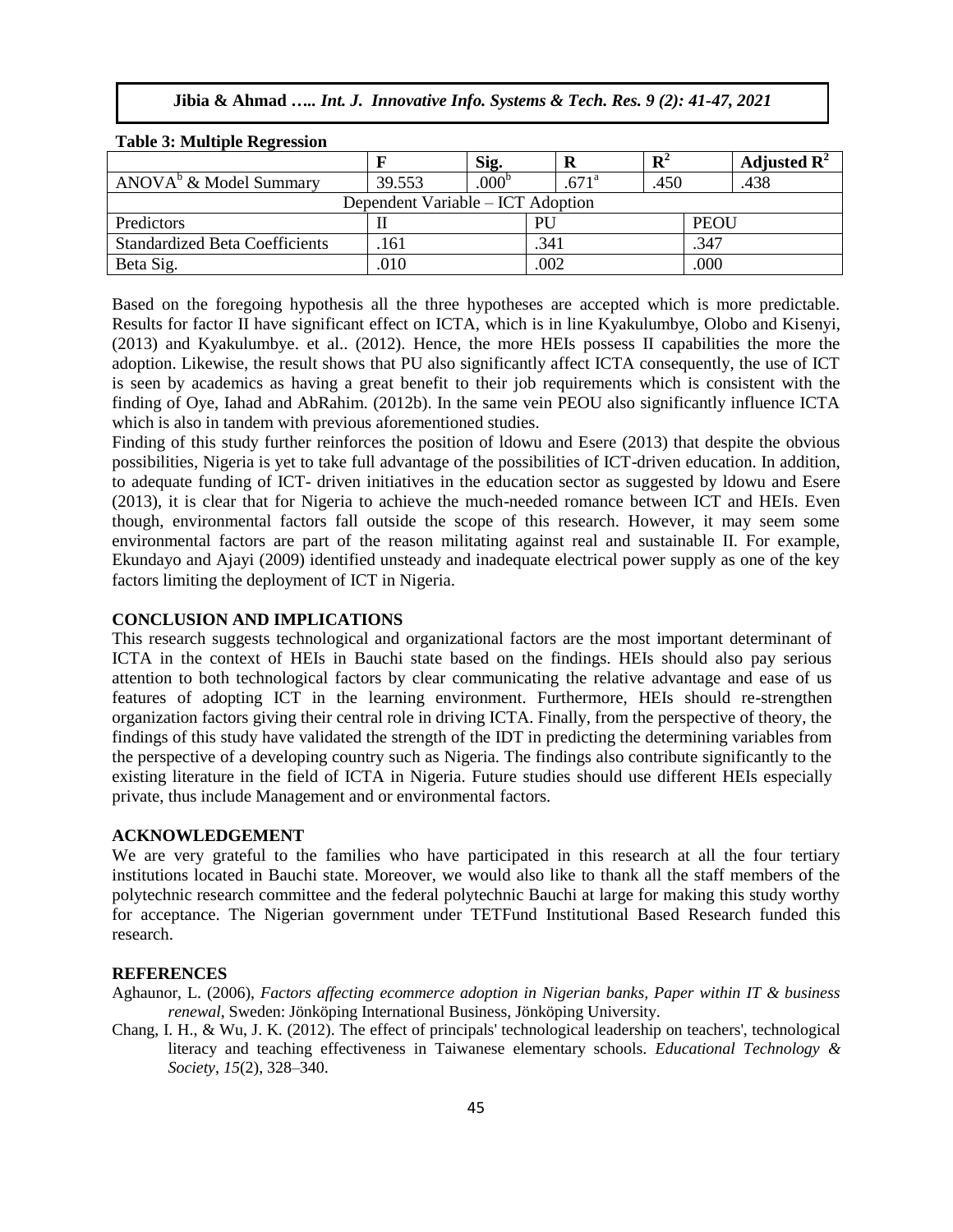**Jibia & Ahmad** *….. Int. J. Innovative Info. Systems & Tech. Res. 9 (2): 41-47, 2021* 

| Table 9: Manuphe Regi ession          |        |                |                |                |             |                         |  |  |  |  |
|---------------------------------------|--------|----------------|----------------|----------------|-------------|-------------------------|--|--|--|--|
|                                       |        | Sig.           |                | $\mathbf{R}^2$ |             | Adjusted $\mathbb{R}^2$ |  |  |  |  |
| $ANOVAb$ & Model Summary              | 39.553 | $.000^{\circ}$ | $.671^{\circ}$ | .450           |             | .438                    |  |  |  |  |
| Dependent Variable – ICT Adoption     |        |                |                |                |             |                         |  |  |  |  |
| Predictors                            |        |                | PU             |                | <b>PEOU</b> |                         |  |  |  |  |
| <b>Standardized Beta Coefficients</b> | 161    |                | .341           |                | .347        |                         |  |  |  |  |
| Beta Sig.                             | .010   |                | .002           |                | .000        |                         |  |  |  |  |

## **Table 3: Multiple Regression**

Based on the foregoing hypothesis all the three hypotheses are accepted which is more predictable. Results for factor II have significant effect on ICTA, which is in line Kyakulumbye, Olobo and Kisenyi, (2013) and Kyakulumbye. et al.. (2012). Hence, the more HEIs possess II capabilities the more the adoption. Likewise, the result shows that PU also significantly affect ICTA consequently, the use of ICT is seen by academics as having a great benefit to their job requirements which is consistent with the finding of Oye, Iahad and AbRahim. (2012b). In the same vein PEOU also significantly influence ICTA which is also in tandem with previous aforementioned studies.

Finding of this study further reinforces the position of ldowu and Esere (2013) that despite the obvious possibilities, Nigeria is yet to take full advantage of the possibilities of ICT-driven education. In addition, to adequate funding of ICT- driven initiatives in the education sector as suggested by ldowu and Esere (2013), it is clear that for Nigeria to achieve the much-needed romance between ICT and HEIs. Even though, environmental factors fall outside the scope of this research. However, it may seem some environmental factors are part of the reason militating against real and sustainable II. For example, Ekundayo and Ajayi (2009) identified unsteady and inadequate electrical power supply as one of the key factors limiting the deployment of ICT in Nigeria.

# **CONCLUSION AND IMPLICATIONS**

This research suggests technological and organizational factors are the most important determinant of ICTA in the context of HEIs in Bauchi state based on the findings. HEIs should also pay serious attention to both technological factors by clear communicating the relative advantage and ease of us features of adopting ICT in the learning environment. Furthermore, HEIs should re-strengthen organization factors giving their central role in driving ICTA. Finally, from the perspective of theory, the findings of this study have validated the strength of the IDT in predicting the determining variables from the perspective of a developing country such as Nigeria. The findings also contribute significantly to the existing literature in the field of ICTA in Nigeria. Future studies should use different HEIs especially private, thus include Management and or environmental factors.

## **ACKNOWLEDGEMENT**

We are very grateful to the families who have participated in this research at all the four tertiary institutions located in Bauchi state. Moreover, we would also like to thank all the staff members of the polytechnic research committee and the federal polytechnic Bauchi at large for making this study worthy for acceptance. The Nigerian government under TETFund Institutional Based Research funded this research.

# **REFERENCES**

Aghaunor, L. (2006), *Factors affecting ecommerce adoption in Nigerian banks, Paper within IT & business renewal*, Sweden: Jönköping International Business, Jönköping University.

Chang, I. H., & Wu, J. K. (2012). The effect of principals' technological leadership on teachers', technological literacy and teaching effectiveness in Taiwanese elementary schools. *Educational Technology & Society*, *15*(2), 328–340.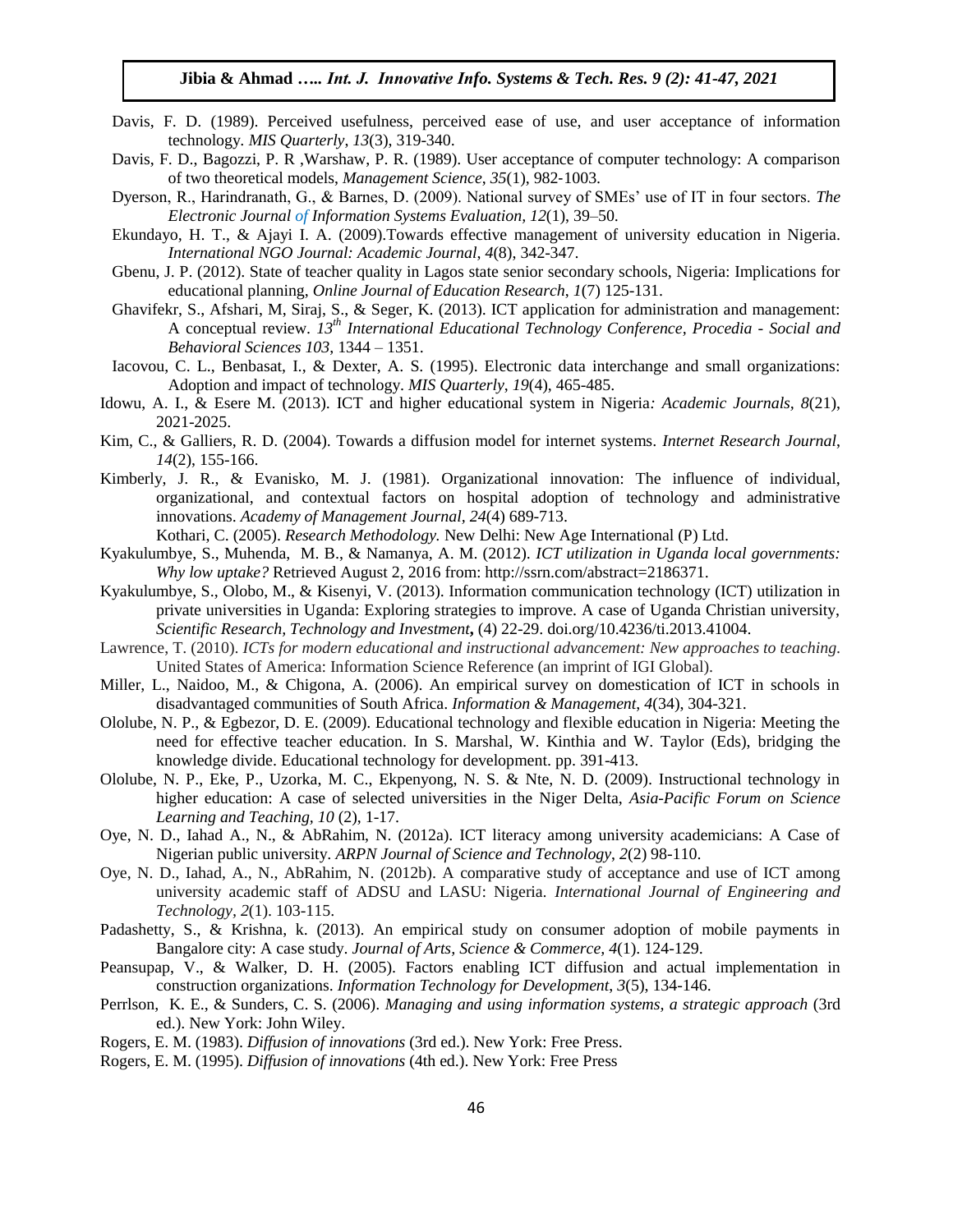- Davis, F. D. (1989). Perceived usefulness, perceived ease of use, and user acceptance of information technology*. MIS Quarterly*, *13*(3), 319-340.
- Davis, F. D., Bagozzi, P. R ,Warshaw, P. R. (1989). User acceptance of computer technology: A comparison of two theoretical models, *Management Science*, *35*(1), 982‐1003.
- Dyerson, R., Harindranath, G., & Barnes, D. (2009). National survey of SMEs' use of IT in four sectors. *The Electronic Journal of Information Systems Evaluation, 12*(1), 39–50.
- Ekundayo, H. T., & Ajayi I. A. (2009).Towards effective management of university education in Nigeria. *International NGO Journal: Academic Journal*, *4*(8), 342-347.
- Gbenu, J. P. (2012). State of teacher quality in Lagos state senior secondary schools, Nigeria: Implications for educational planning, *Online Journal of Education Research*, *1*(7) 125-131.
- Ghavifekr, S., Afshari, M, Siraj, S., & Seger, K. (2013). ICT application for administration and management: A conceptual review. *13th International Educational Technology Conference, Procedia - Social and Behavioral Sciences 103*, 1344 – 1351.
- Iacovou, C. L., Benbasat, I., & Dexter, A. S. (1995). Electronic data interchange and small organizations: Adoption and impact of technology. *MIS Quarterly*, *19*(4), 465-485.
- Idowu, A. I., & Esere M. (2013). ICT and higher educational system in Nigeria*: Academic Journals, 8*(21), 2021-2025.
- Kim, C., & Galliers, R. D. (2004). Towards a diffusion model for internet systems. *Internet Research Journal*, *14*(2), 155-166.
- Kimberly, J. R., & Evanisko, M. J. (1981). Organizational innovation: The influence of individual, organizational, and contextual factors on hospital adoption of technology and administrative innovations. *Academy of Management Journal, 24*(4) 689-713.

Kothari, C. (2005). *Research Methodology.* New Delhi: New Age International (P) Ltd.

- Kyakulumbye, S., Muhenda, M. B., & Namanya, A. M. (2012). *ICT utilization in Uganda local governments: Why low uptake?* Retrieved August 2, 2016 from: http://ssrn.com/abstract=2186371.
- Kyakulumbye, S., Olobo, M., & Kisenyi, V. (2013). Information communication technology (ICT) utilization in private universities in Uganda: Exploring strategies to improve. A case of Uganda Christian university, *Scientific Research, Technology and Investment***,** (4) 22-29. doi.org/10.4236/ti.2013.41004.
- Lawrence, T. (2010). *ICTs for modern educational and instructional advancement: New approaches to teaching*. United States of America: Information Science Reference (an imprint of IGI Global).
- Miller, L., Naidoo, M., & Chigona, A. (2006). An empirical survey on domestication of ICT in schools in disadvantaged communities of South Africa. *Information & Management*, *4*(34), 304-321.
- Ololube, N. P., & Egbezor, D. E. (2009). Educational technology and flexible education in Nigeria: Meeting the need for effective teacher education. In S. Marshal, W. Kinthia and W. Taylor (Eds), bridging the knowledge divide. Educational technology for development. pp. 391-413.
- Ololube, N. P., Eke, P., Uzorka, M. C., Ekpenyong, N. S. & Nte, N. D. (2009). Instructional technology in higher education: A case of selected universities in the Niger Delta, *Asia-Pacific Forum on Science Learning and Teaching, 10* (2), 1-17.
- Oye, N. D., Iahad A., N., & AbRahim, N. (2012a). ICT literacy among university academicians: A Case of Nigerian public university. *ARPN Journal of Science and Technology*, *2*(2) 98-110.
- Oye, N. D., Iahad, A., N., AbRahim, N. (2012b). A comparative study of acceptance and use of ICT among university academic staff of ADSU and LASU: Nigeria. *International Journal of Engineering and Technology, 2*(1). 103-115.
- Padashetty, S., & Krishna, k. (2013). An empirical study on consumer adoption of mobile payments in Bangalore city: A case study. *Journal of Arts, Science & Commerce, 4*(1). 124-129.
- Peansupap, V., & Walker, D. H. (2005). Factors enabling ICT diffusion and actual implementation in construction organizations. *Information Technology for Development*, *3*(5), 134-146.
- Perrlson, K. E., & Sunders, C. S. (2006). *Managing and using information systems, a strategic approach* (3rd ed.). New York: John Wiley.
- Rogers, E. M. (1983). *Diffusion of innovations* (3rd ed.). New York: Free Press.
- Rogers, E. M. (1995). *Diffusion of innovations* (4th ed.). New York: Free Press